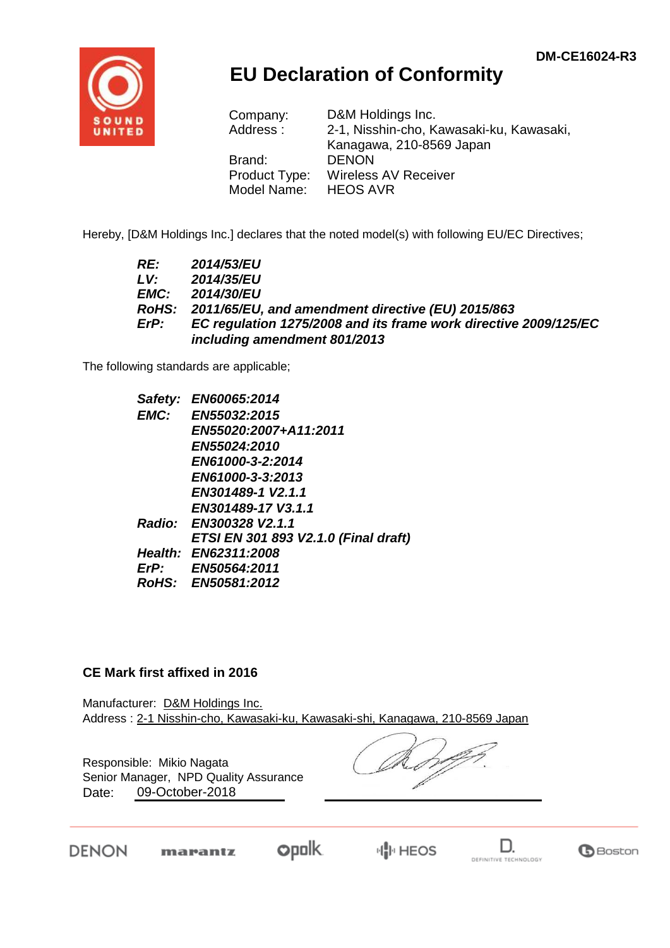

## **EU Declaration of Conformity**

| Company:      | D&M Holdings Inc.                        |
|---------------|------------------------------------------|
| Address:      | 2-1, Nisshin-cho, Kawasaki-ku, Kawasaki, |
|               | Kanagawa, 210-8569 Japan                 |
| Brand:        | <b>DENON</b>                             |
| Product Type: | <b>Wireless AV Receiver</b>              |
| Model Name:   | <b>HEOS AVR</b>                          |

Hereby, [D&M Holdings Inc.] declares that the noted model(s) with following EU/EC Directives;

| RE:  | <b>2014/53/EU</b>                                                |
|------|------------------------------------------------------------------|
| LV:  | 2014/35/EU                                                       |
| EMC: | <b>2014/30/EU</b>                                                |
|      | RoHS: 2011/65/EU, and amendment directive (EU) 2015/863          |
| ErP: | EC regulation 1275/2008 and its frame work directive 2009/125/EC |
|      | including amendment 801/2013                                     |

The following standards are applicable;

| Safety: | <b>EN60065:2014</b>                  |
|---------|--------------------------------------|
| EMC:    | EN55032:2015                         |
|         | EN55020:2007+A11:2011                |
|         | <b>EN55024:2010</b>                  |
|         | EN61000-3-2:2014                     |
|         | EN61000-3-3:2013                     |
|         | EN301489-1 V2.1.1                    |
|         | EN301489-17 V3.1.1                   |
|         | Radio: EN300328 V2.1.1               |
|         | ETSI EN 301 893 V2.1.0 (Final draft) |
|         | <b>Health: EN62311:2008</b>          |
|         | ErP: EN50564:2011                    |
|         | RoHS: EN50581:2012                   |

## **CE Mark first affixed in 2016**

Manufacturer: D&M Holdings Inc. Address : 2-1 Nisshin-cho, Kawasaki-ku, Kawasaki-shi, Kanagawa, 210-8569 Japan

Responsible: Mikio Nagata Date: 09-October-2018 Senior Manager, NPD Quality Assurance

DENON

opolk. marantz



D.

**G**Boston